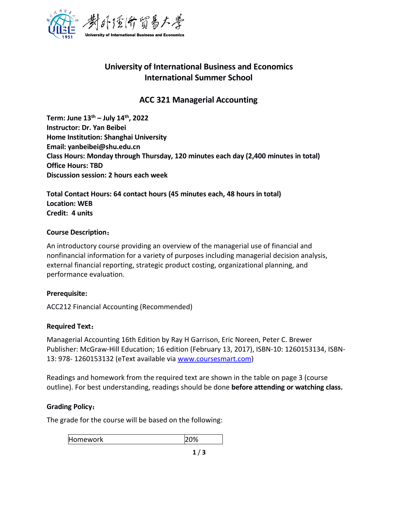

# **University of International Business and Economics International Summer School**

# **ACC 321 Managerial Accounting**

**Term: June 13 th – July 14 th , 2022 Instructor: Dr. Yan Beibei Home Institution: Shanghai University Email: yanbeibei@shu.edu.cn Class Hours: Monday through Thursday, 120 minutes each day (2,400 minutes in total) Office Hours: TBD Discussion session: 2 hours each week**

**Total Contact Hours: 64 contact hours (45 minutes each, 48 hours in total) Location: WEB Credit: 4 units**

## **Course Description**:

An introductory course providing an overview of the managerial use of financial and nonfinancial information for a variety of purposes including managerial decision analysis, external financial reporting, strategic product costing, organizational planning, and performance evaluation.

# **Prerequisite:**

ACC212 Financial Accounting (Recommended)

# **Required Text**:

Managerial Accounting 16th Edition by Ray H Garrison, Eric Noreen, Peter C. Brewer Publisher: McGraw-Hill Education; 16 edition (February 13, 2017), ISBN-10: 1260153134, ISBN- 13: 978- 1260153132 (eText available via [www.coursesmart.com\)](http://www.coursesmart.com)

Readings and homework from the required text are shown in the table on page 3 (course outline). For best understanding, readings should be done **before attending or watching class.**

#### **Grading Policy**:

The grade for the course will be based on the following:

Homework 20%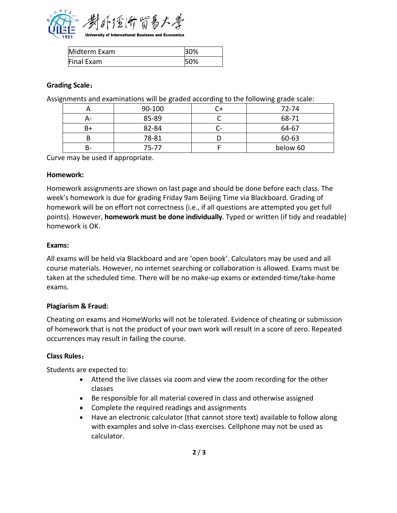

| Midterm Exam | 30% |
|--------------|-----|
| Final Exam   | 50% |

## **Grading Scale**:

Assignments and examinations will be graded according to the following grade scale:

|    | 90-100 | ∪⊤ | 72-74    |
|----|--------|----|----------|
| А- | 85-89  |    | 68-71    |
| B+ | 82-84  | c- | 64-67    |
|    | 78-81  |    | 60-63    |
| в- | 75-77  |    | below 60 |

Curve may be used if appropriate.

#### **Homework:**

Homework assignments are shown on last page and should be done before each class. The week's homework is due for grading Friday 9am Beijing Time via Blackboard. Grading of homework will be on effort not correctness (i.e., if all questions are attempted you get full points). However, **homework must be done individually**. Typed or written (if tidy and readable) homework is OK.

#### **Exams:**

All exams will be held via Blackboard and are 'open book'. Calculators may be used and all course materials. However, no internet searching or collaboration is allowed. Exams must be taken at the scheduled time. There will be no make-up exams or extended-time/take-home exams.

#### **Plagiarism & Fraud:**

Cheating on exams and HomeWorks will not be tolerated. Evidence of cheating or submission of homework that is not the product of your own work will result in a score of zero. Repeated occurrences may result in failing the course.

#### **Class Rules**:

Students are expected to:

- Attend the live classes via zoom and view the zoom recording for the other classes
- Be responsible for all material covered in class and otherwise assigned
- Complete the required readings and assignments
- Have an electronic calculator (that cannot store text) available to follow along with examples and solve in-class exercises. Cellphone may not be used as calculator.